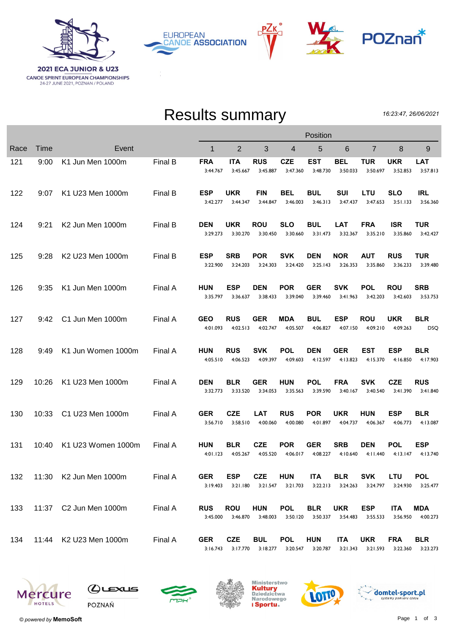

PZк **EUROPEAN CANOE ASSOCIATION** 



## Results summary

16:23:47, 26/06/2021

|      |             |                              |         | Position               |                        |                        |                                 |                        |                        |                        |                        |                          |
|------|-------------|------------------------------|---------|------------------------|------------------------|------------------------|---------------------------------|------------------------|------------------------|------------------------|------------------------|--------------------------|
| Race | <b>Time</b> | Event                        |         | $\mathbf{1}$           | $\overline{2}$         | 3                      | 4                               | 5                      | 6                      | 7                      | 8                      | 9                        |
| 121  | 9:00        | K1 Jun Men 1000m             | Final B | <b>FRA</b><br>3:44.767 | <b>ITA</b><br>3:45.667 | <b>RUS</b><br>3:45.887 | <b>CZE</b><br>3:47.360          | <b>EST</b><br>3:48.730 | <b>BEL</b><br>3:50.033 | <b>TUR</b><br>3:50.697 | <b>UKR</b><br>3:52.853 | <b>LAT</b><br>3:57.813   |
| 122  | 9:07        | K1 U23 Men 1000m             | Final B | <b>ESP</b><br>3:42.277 | <b>UKR</b><br>3:44.347 | <b>FIN</b><br>3:44.847 | BEL<br>3:46.003                 | <b>BUL</b><br>3:46.313 | SUI<br>3:47.437        | LTU<br>3:47.653        | <b>SLO</b><br>3:51.133 | <b>IRL</b><br>3:56.360   |
| 124  | 9:21        | K <sub>2</sub> Jun Men 1000m | Final B | <b>DEN</b><br>3:29.273 | <b>UKR</b><br>3:30.270 | <b>ROU</b><br>3:30.450 | <b>SLO</b><br>3:30.660          | <b>BUL</b><br>3:31.473 | LAT<br>3:32.367        | <b>FRA</b><br>3:35.210 | <b>ISR</b><br>3:35.860 | <b>TUR</b><br>3:42.427   |
| 125  | 9:28        | K2 U23 Men 1000m             | Final B | <b>ESP</b><br>3:22.900 | <b>SRB</b><br>3:24.203 | <b>POR</b><br>3:24.303 | <b>SVK</b><br>3:24.420          | <b>DEN</b><br>3:25.143 | <b>NOR</b><br>3:26.353 | <b>AUT</b><br>3:35.860 | <b>RUS</b><br>3:36.233 | <b>TUR</b><br>3:39.480   |
| 126  | 9:35        | K1 Jun Men 1000m             | Final A | <b>HUN</b><br>3:35.797 | <b>ESP</b><br>3:36.637 | <b>DEN</b><br>3:38.433 | <b>POR</b><br>3:39.040          | <b>GER</b><br>3:39.460 | <b>SVK</b><br>3:41.963 | POL<br>3:42.203        | <b>ROU</b><br>3:42.603 | <b>SRB</b><br>3:53.753   |
| 127  | 9:42        | C1 Jun Men 1000m             | Final A | <b>GEO</b><br>4:01.093 | <b>RUS</b><br>4:02.513 | <b>GER</b><br>4:02.747 | <b>MDA</b><br>4:05.507          | <b>BUL</b><br>4:06.827 | <b>ESP</b><br>4:07.150 | <b>ROU</b><br>4:09.210 | <b>UKR</b><br>4:09.263 | <b>BLR</b><br><b>DSQ</b> |
| 128  | 9:49        | K1 Jun Women 1000m           | Final A | <b>HUN</b><br>4:05.510 | <b>RUS</b><br>4:06.523 | SVK<br>4:09.397        | <b>POL</b><br>4:09.603          | <b>DEN</b><br>4:12.597 | <b>GER</b><br>4:13.823 | EST<br>4:15.370        | <b>ESP</b><br>4:16.850 | BLR<br>4:17.903          |
| 129  | 10:26       | K1 U23 Men 1000m             | Final A | <b>DEN</b><br>3:32.773 | <b>BLR</b><br>3:33.520 | <b>GER</b><br>3:34.053 | <b>HUN</b><br>3:35.563          | <b>POL</b><br>3:39.590 | <b>FRA</b><br>3:40.167 | <b>SVK</b><br>3:40.540 | <b>CZE</b><br>3:41.390 | <b>RUS</b><br>3:41.840   |
| 130  | 10:33       | C1 U23 Men 1000m             | Final A | <b>GER</b><br>3:56.710 | <b>CZE</b><br>3:58.510 | <b>LAT</b><br>4:00.060 | <b>RUS</b><br>4:00.080          | <b>POR</b><br>4:01.897 | <b>UKR</b><br>4:04.737 | <b>HUN</b><br>4:06.367 | <b>ESP</b><br>4:06.773 | <b>BLR</b><br>4:13.087   |
| 131  | 10:40       | K1 U23 Women 1000m           | Final A | <b>HUN</b><br>4:01.123 | <b>BLR</b><br>4:05.267 | <b>CZE</b><br>4:05.520 | <b>POR</b><br>4:06.017          | <b>GER</b><br>4:08.227 | <b>SRB</b><br>4:10.640 | <b>DEN</b><br>4:11.440 | <b>POL</b><br>4:13.147 | <b>ESP</b><br>4:13.740   |
| 132  |             | 11:30 K2 Jun Men 1000m       | Final A | <b>GER</b><br>3:19.403 | <b>ESP</b><br>3:21.180 | <b>CZE</b>             | <b>HUN</b><br>3:21.547 3:21.703 | <b>ITA</b><br>3:22.213 | <b>BLR</b><br>3:24.263 | <b>SVK</b><br>3:24.797 | <b>LTU</b><br>3:24.930 | <b>POL</b><br>3:25.477   |
| 133  |             | 11:37 C2 Jun Men 1000m       | Final A | <b>RUS</b><br>3:45.000 | <b>ROU</b><br>3:46.870 | <b>HUN</b><br>3:48.003 | <b>POL</b><br>3:50.120          | <b>BLR</b><br>3:50.337 | <b>UKR</b><br>3:54.483 | <b>ESP</b><br>3:55.533 | <b>ITA</b><br>3:56.950 | <b>MDA</b><br>4:00.273   |
| 134  |             | 11:44 K2 U23 Men 1000m       | Final A | <b>GER</b><br>3:16.743 | <b>CZE</b><br>3:17.770 | <b>BUL</b><br>3:18.277 | <b>POL</b><br>3:20.547          | <b>HUN</b><br>3:20.787 | <b>ITA</b><br>3:21.343 | <b>UKR</b><br>3:21.593 | <b>FRA</b><br>3:22.360 | <b>BLR</b><br>3:23.273   |











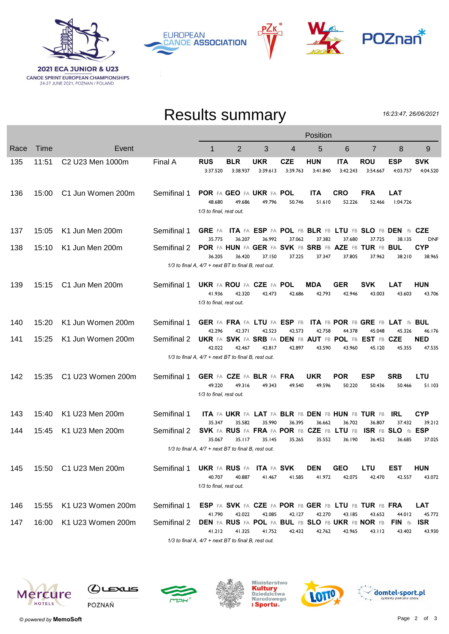

PZк **EUROPEAN CANOE ASSOCIATION** 



## Results summary

16:23:47, 26/06/2021

|      |       |                                          |             | Position                                                  |                                                                          |                        |                        |                        |                        |                                 |                                       |                                |  |
|------|-------|------------------------------------------|-------------|-----------------------------------------------------------|--------------------------------------------------------------------------|------------------------|------------------------|------------------------|------------------------|---------------------------------|---------------------------------------|--------------------------------|--|
| Race | Time  | Event                                    |             | 1                                                         | $\overline{2}$                                                           | 3                      | 4                      | 5                      | 6                      | $\overline{7}$                  | 8                                     | 9                              |  |
| 135  | 11:51 | C <sub>2</sub> U <sub>23</sub> Men 1000m | Final A     | <b>RUS</b><br>3:37.520                                    | <b>BLR</b><br>3:38.937                                                   | <b>UKR</b><br>3:39.613 | <b>CZE</b><br>3:39.763 | <b>HUN</b><br>3:41.840 | <b>ITA</b><br>3:42.243 | ROU<br>3:54.667                 | <b>ESP</b><br>4:03.757                | <b>SVK</b><br>4:04.520         |  |
| 136  | 15:00 | C1 Jun Women 200m                        | Semifinal 1 | 48.680<br>1/3 to final, rest out.                         | POR FA GEO FA UKR FA POL<br>49.686                                       | 49.796                 | 50.746                 | <b>ITA</b><br>51.610   | <b>CRO</b><br>52.226   | <b>FRA</b><br>52.466            | <b>LAT</b><br>1:04.726                |                                |  |
| 137  | 15:05 | K1 Jun Men 200m                          | Semifinal 1 |                                                           | GRE FA ITA FA ESP FA POL FB BLR FB LTU FB SLO FB DEN fb CZE              |                        |                        |                        |                        |                                 |                                       |                                |  |
| 138  | 15:10 | K1 Jun Men 200m                          | Semifinal 2 | 35.775<br>36.205                                          | 36.207<br>POR FA HUN FA GER FA SVK FB SRB FB AZE FB TUR FB BUL<br>36.420 | 36.992<br>37.150       | 37.062<br>37.225       | 37.382<br>37.347       | 37.680<br>37.805       | 37.725<br>37.962                | 38.135<br>38.210                      | DNF<br><b>CYP</b><br>38.965    |  |
|      |       |                                          |             | 1/3 to final A, 4/7 + next BT to final B, rest out.       |                                                                          |                        |                        |                        |                        |                                 |                                       |                                |  |
| 139  | 15:15 | C1 Jun Men 200m                          | Semifinal 1 | 41.936<br>1/3 to final, rest out.                         | <b>UKR FA ROU FA CZE FA POL</b><br>42.320                                | 42.473                 | 42.686                 | <b>MDA</b><br>42.793   | <b>GER</b><br>42.946   | <b>SVK</b><br>43.003            | <b>LAT</b><br>43.603                  | HUN<br>43.706                  |  |
| 140  | 15:20 | K1 Jun Women 200m                        | Semifinal 1 |                                                           | GER FA FRA FA LTU FA ESP FB                                              |                        |                        |                        |                        | ITA FB POR FB GRE FB LAT fb BUL |                                       |                                |  |
| 141  | 15:25 | K1 Jun Women 200m                        | Semifinal 2 | 42.296<br>42.022                                          | 42.371<br>UKR FA SVK FA SRB FA DEN FB AUT FB POL FB EST FB CZE<br>42.467 | 42.523<br>42.817       | 42.573<br>42.897       | 42.758<br>43.590       | 44.378<br>43.960       | 45.048<br>45.120                | 45.326<br>45.355                      | 46.176<br><b>NED</b><br>47.535 |  |
|      |       |                                          |             | 1/3 to final A, 4/7 + next BT to final B, rest out.       |                                                                          |                        |                        |                        |                        |                                 |                                       |                                |  |
| 142  | 15:35 | C1 U23 Women 200m                        | Semifinal 1 | 49.220<br>1/3 to final, rest out.                         | GER FA CZE FA BLR FA FRA<br>49.316                                       | 49.343                 | 49.540                 | <b>UKR</b><br>49.596   | <b>POR</b><br>50.220   | <b>ESP</b><br>50.436            | <b>SRB</b><br>50.466                  | LTU<br>51.103                  |  |
| 143  | 15:40 | K1 U23 Men 200m                          | Semifinal 1 |                                                           | ITA FA UKR FA LAT FA BLR FB DEN FB HUN FB TUR FB                         |                        |                        |                        |                        |                                 | IRL                                   | <b>CYP</b>                     |  |
| 144  | 15:45 | K1 U23 Men 200m                          | Semifinal 2 | 35.347<br>35.067                                          | 35.582<br>SVK FA RUS FA FRA FA POR FB CZE FB LTU FB<br>35.117            | 35.990<br>35.145       | 36.395<br>35.265       | 36.662<br>35.552       | 36.702<br>36.190       | 36.807<br>36.452                | 37.432<br>ISR FB SLO fb ESP<br>36.685 | 39.212<br>37.025               |  |
|      |       |                                          |             | $1/3$ to final A, $4/7$ + next BT to final B, rest out.   |                                                                          |                        |                        |                        |                        |                                 |                                       |                                |  |
| 145  |       | 15:50 C1 U23 Men 200m                    | Semifinal 1 | <b>UKR FA RUS FA</b><br>40.707<br>1/3 to final, rest out. | 40.887                                                                   | ITA FA SVK<br>41.467   | 41.585                 | <b>DEN</b><br>41.972   | <b>GEO</b><br>42.075   | LTU<br>42.470                   | <b>EST</b><br>42.557                  | <b>HUN</b><br>43.072           |  |
| 146  | 15:55 | K1 U23 Women 200m                        | Semifinal 1 |                                                           | ESP FA SVK FA CZE FA POR FB GER FB LTU FB TUR FB FRA                     |                        |                        |                        |                        |                                 |                                       | <b>LAT</b>                     |  |
| 147  | 16:00 | K1 U23 Women 200m                        | Semifinal 2 | 41.790<br>41.212                                          | 42.022<br>DEN FA RUS FA POL FA BUL FB SLO FB UKR FB NOR FB<br>41.325     | 42.085<br>41.752       | 42.127<br>42.432       | 42.270<br>42.762       | 43.185<br>42.965       | 43.652<br>43.112                | 44.012<br>FIN fb<br>43.402            | 45.772<br><b>ISR</b><br>43.930 |  |
|      |       |                                          |             | 1/3 to final A, 4/7 + next BT to final B, rest out.       |                                                                          |                        |                        |                        |                        |                                 |                                       |                                |  |







![](_page_1_Picture_9.jpeg)

![](_page_1_Picture_10.jpeg)

![](_page_1_Picture_11.jpeg)

![](_page_1_Picture_12.jpeg)